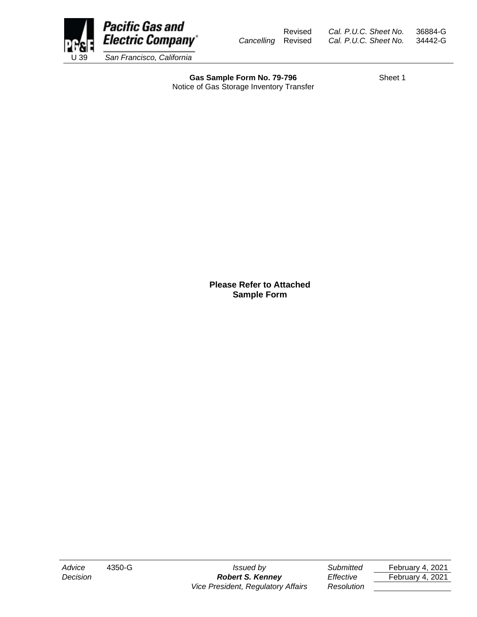

Gas Sample Form No. 79-796 Sheet 1 Notice of Gas Storage Inventory Transfer

**Please Refer to Attached Sample Form**

*Decision Robert S. Kenney Effective* February 4, 2021 *Vice President, Regulatory Affairs Resolution*

*Advice* 4350-G *Issued by Submitted* February 4, 2021